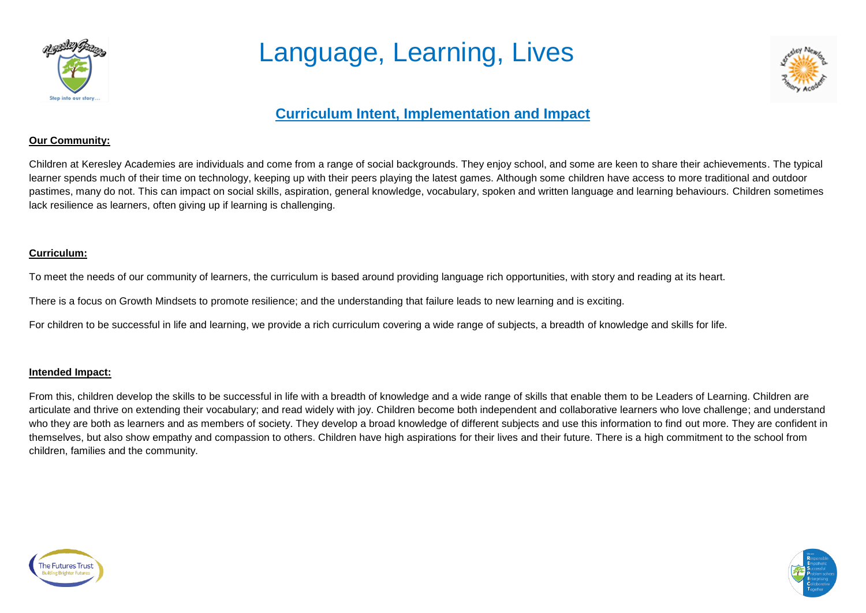

## Language, Learning, Lives



### **Curriculum Intent, Implementation and Impact**

#### **Our Community:**

Children at Keresley Academies are individuals and come from a range of social backgrounds. They enjoy school, and some are keen to share their achievements. The typical learner spends much of their time on technology, keeping up with their peers playing the latest games. Although some children have access to more traditional and outdoor pastimes, many do not. This can impact on social skills, aspiration, general knowledge, vocabulary, spoken and written language and learning behaviours. Children sometimes lack resilience as learners, often giving up if learning is challenging.

#### **Curriculum:**

To meet the needs of our community of learners, the curriculum is based around providing language rich opportunities, with story and reading at its heart.

There is a focus on Growth Mindsets to promote resilience; and the understanding that failure leads to new learning and is exciting.

For children to be successful in life and learning, we provide a rich curriculum covering a wide range of subjects, a breadth of knowledge and skills for life.

#### **Intended Impact:**

From this, children develop the skills to be successful in life with a breadth of knowledge and a wide range of skills that enable them to be Leaders of Learning. Children are articulate and thrive on extending their vocabulary; and read widely with joy. Children become both independent and collaborative learners who love challenge; and understand who they are both as learners and as members of society. They develop a broad knowledge of different subjects and use this information to find out more. They are confident in themselves, but also show empathy and compassion to others. Children have high aspirations for their lives and their future. There is a high commitment to the school from children, families and the community.